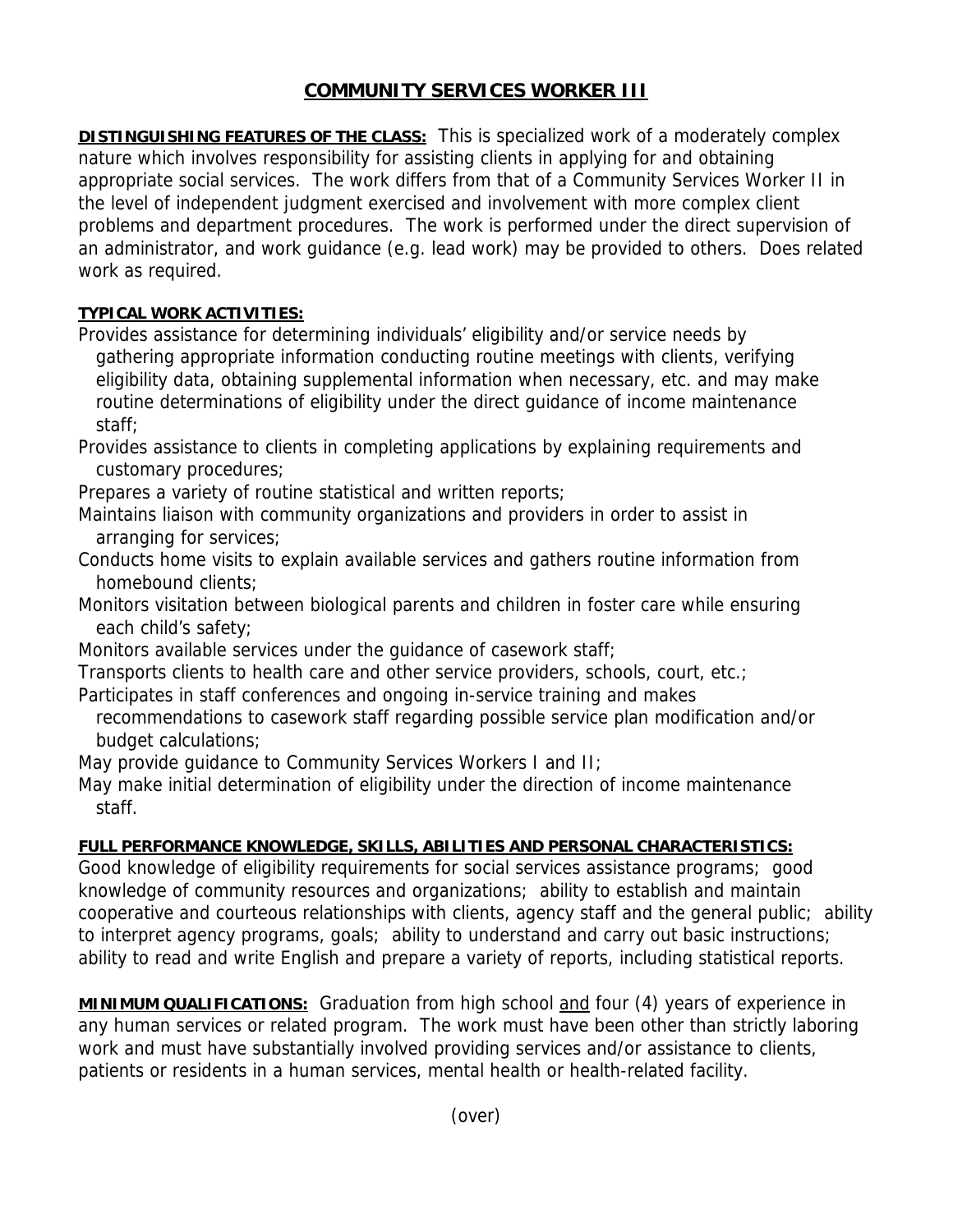## **COMMUNITY SERVICES WORKER III**

**DISTINGUISHING FEATURES OF THE CLASS:** This is specialized work of a moderately complex nature which involves responsibility for assisting clients in applying for and obtaining appropriate social services. The work differs from that of a Community Services Worker II in the level of independent judgment exercised and involvement with more complex client problems and department procedures. The work is performed under the direct supervision of an administrator, and work guidance (e.g. lead work) may be provided to others. Does related work as required.

## **TYPICAL WORK ACTIVITIES:**

Provides assistance for determining individuals' eligibility and/or service needs by gathering appropriate information conducting routine meetings with clients, verifying eligibility data, obtaining supplemental information when necessary, etc. and may make routine determinations of eligibility under the direct guidance of income maintenance staff;

Provides assistance to clients in completing applications by explaining requirements and customary procedures;

Prepares a variety of routine statistical and written reports;

- Maintains liaison with community organizations and providers in order to assist in arranging for services;
- Conducts home visits to explain available services and gathers routine information from homebound clients;

Monitors visitation between biological parents and children in foster care while ensuring each child's safety;

Monitors available services under the guidance of casework staff;

Transports clients to health care and other service providers, schools, court, etc.;

- Participates in staff conferences and ongoing in-service training and makes
	- recommendations to casework staff regarding possible service plan modification and/or budget calculations;

May provide guidance to Community Services Workers I and II;

May make initial determination of eligibility under the direction of income maintenance staff.

## **FULL PERFORMANCE KNOWLEDGE, SKILLS, ABILITIES AND PERSONAL CHARACTERISTICS:**

Good knowledge of eligibility requirements for social services assistance programs; good knowledge of community resources and organizations; ability to establish and maintain cooperative and courteous relationships with clients, agency staff and the general public; ability to interpret agency programs, goals; ability to understand and carry out basic instructions; ability to read and write English and prepare a variety of reports, including statistical reports.

**MINIMUM QUALIFICATIONS:** Graduation from high school and four (4) years of experience in any human services or related program. The work must have been other than strictly laboring work and must have substantially involved providing services and/or assistance to clients, patients or residents in a human services, mental health or health-related facility.